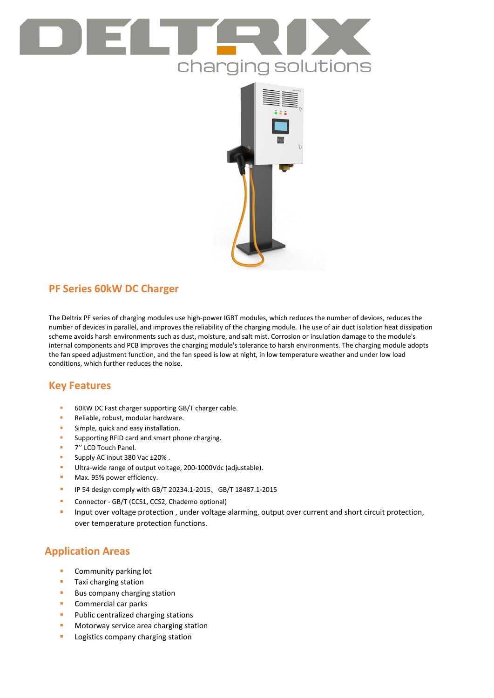# charging solutions



# **PF Series 60kW DC Charger**

The Deltrix PF series of charging modules use high-power IGBT modules, which reduces the number of devices, reduces the number of devices in parallel, and improves the reliability of the charging module. The use of air duct isolation heat dissipation scheme avoids harsh environments such as dust, moisture, and salt mist. Corrosion or insulation damage to the module's internal components and PCB improves the charging module's tolerance to harsh environments. The charging module adopts the fan speed adjustment function, and the fan speed is low at night, in low temperature weather and under low load conditions, which further reduces the noise.

## **Key Features**

- 60KW DC Fast charger supporting GB/T charger cable.
- Reliable, robust, modular hardware.
- Simple, quick and easy installation.
- Supporting RFID card and smart phone charging.
- 7'' LCD Touch Panel.
- Supply AC input 380 Vac ±20%.
- Ultra-wide range of output voltage, 200-1000Vdc (adjustable).
- **Max. 95% power efficiency.**
- IP 54 design comply with GB/T 20234.1-2015、GB/T 18487.1-2015
- **Connector GB/T (CCS1, CCS2, Chademo optional)**
- **Input over voltage protection**, under voltage alarming, output over current and short circuit protection, over temperature protection functions.

## **Application Areas**

- Community parking lot
- **Taxi charging station**
- **Bus company charging station**
- **Commercial car parks**
- **Public centralized charging stations**
- **Motorway service area charging station**
- **Logistics company charging station**